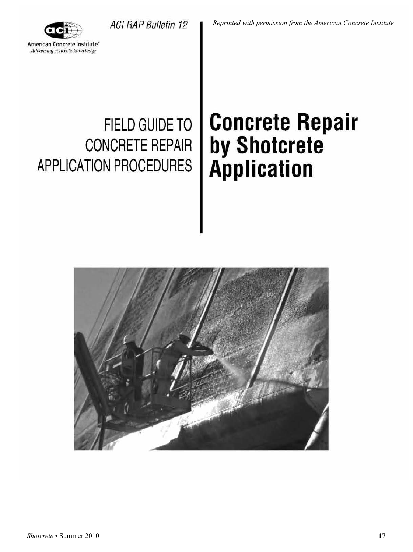*Reprinted with permission from the American Concrete Institute*



# APPLICATION PROCEDURES **Application**

ACI RAP Bulletin 12

# **FIELD GUIDE TO | Concrete Repair CONCRETE REPAIR by Shotcrete**

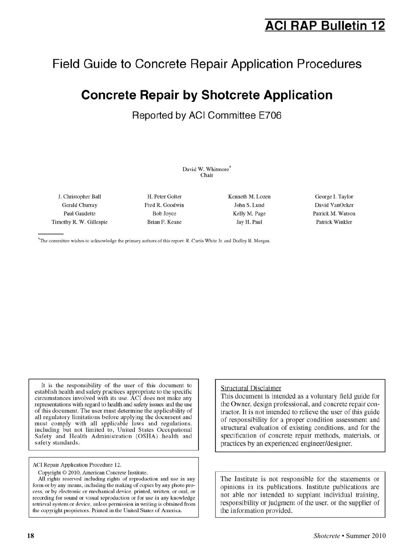## **ACI RAP Bulletin 12**

### **Field Guide to Concrete Repair Application Procedures**

# **Concrete Repair by Shotcrete Application**

**Reported by ACI Committee E706** 

David W. Whitmore\* Chair

J. Christopher Ball H. Peter Goller Kenneth M. Lozen George I. Taylor Gerald Churray Fred R. Goodwin ... John S. Lund David VanOcker Paul Gaudette Bob Joyce Kelly M. Page Patrick M. Watson Timothy R. W. Gillespie Brian F. Keane .Jay H. Paul Patrick Winkler

\*The committee wishes to acknowledge the primary authors of this report: R. Curtis White Jr. and Dudley R. Morgan.

It is the responsibility of the user of this document to establish health and safety practices appropriate to the specific circumstances involved with its use. ACI does not make any representations with regard to health and safety issues and the use of this document. The user must determine the applicability of all regulatory limitations before applying the document and must comply witb all applicable Jaws and regulations, including but not limited to, United States Occupational Safety and Health Administration (OSHA) health and safety standards.

ACI Repair Application Procedure 12.

Copyright © 2010, American Concrete Institute.

All rights reserved including rights of reproduction and use in any form or by any means, including the making of copies by any photo process, or by electronic or mechanical device, printed, written, or oral, or recording for sound or visual reproduction or for use in any knowledge retrieval system or device, unless permission in writing is obtained from the copyright proprietors. Printed in the United States of America.

#### Structural Disclaimer

This document is intended as a voluntary field guide for the Owner, design professional, and concrete repair contractor. It is not intended to relieve the user of this guide of responsibility for a proper condition assessment and structural evaluation of existing conditions, and for the specification of concrete repair methods, materials, or practices by an experienced engineer/designer.

The Institute is not responsible for the statements or opinions in its publications. Institute publications are not able nor intended to supplant individual training, responsibility or judgment of the user, or the supplier of the information provided.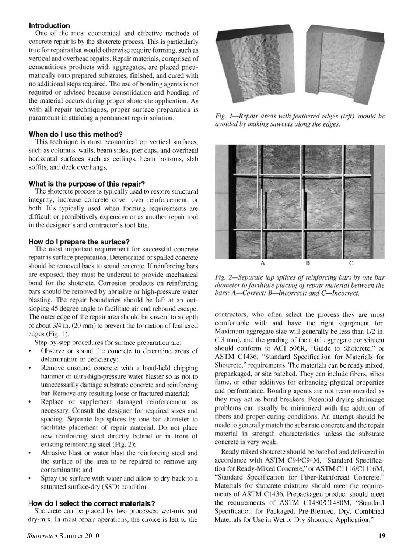#### **Introduction**

One of the most economical and effective methods of concrete repair is by the shotcrete process. This is particularly true for repairs that would otherwise require forming, such as vertical and overhead repairs. Repair materials, comprised of cementitious products with aggregates, are placed pneumatically onto prepared substrates, finished, and cured with no additional steps required. The use of bonding agents is not required or advised because consolidation and bonding of the material occurs during proper shotcrete application. As with all repair techniques, proper surface preparation is paramount in attaining a permanent repair solution.

#### **When do I use this method?**

This technique is most economical on vertical surfaces, such as columns, walls, beam sides, pier caps, and overhead horizontal surfaces such as ceilings, beam bottoms, slab soffits, and deck overhangs.

#### **What is the purpose of this repair?**

The shotcrete process is typically used to restore structural integrity, increase concrete cover over reinforcement, or both. It's typically used when forming requirements are difficult or prohibitively expensive or as another repair tool in the designer's and contractor's tool kits.

#### **How do I prepare the surface?**

The most important requirement for successful concrete repair is surface preparation. Deteriorated or spalled concrete should be removed back to sound concrete. If reinforcing bars are exposed, they must be undercut to provide mechanical bond for the shotcrete. Corrosion products on reinforcing bars should be removed by abrasive or high-pressure water blasting. The repair boundaries should be left at an outsloping 45 degree angle to facilitate air and rebound escape. The outer edge of the repair area should be sawcut to a depth of about 3/4 in. (20 mm) to prevent the formation of feathered edges (Fig. 1).

Step-by-step procedures for surface preparation are:

- Observe or sound the concrete to determine areas of delamination or deficiency;
- Remove unsound concrete with a hand-held chipping hammer or ultra-high-pressure water blaster so as not to unnecessarily damage substrate concrete and reinforcing bar. Remove any resulting loose or fractured material;
- Replace or supplement damaged reinforcement as necessary. Consult the designer for required sizes and spacing. Separate lap splices by one bar diameter to facilitate placement of repair material. Do not place new rein forcing steel directly behind or in front of existing reinforcing steel (Fig. 2);
- Abrasive blast or water blast the reinforcing steel and the surface of the area to be repaired to remove any contaminants; and
- Spray the surface with water and allow to dry back to a saturated surface-dry (SSD) condition.

#### **How do I select the correct materials?**

Shotcrete can be placed by two processes: wet-mix and dry-mix. In most repair operations, the choice is left to the



*Fig. 1-Repair areas with feathered edges (left) should be avoided by making sawcws along the edges.* 



*Fig. 2-Separate lap splices of reinforcing bars by one bar diameter to facilitate placing of repair material between the*  bars: A-Correct; B-Incorrect; and C-Incorrect.

contractors, who often select the process they are most comfortable with and have the right equipment for. Maximum aggregate size will generally be less than 1/2 in. (13 mm), and the grading of the total aggregate constituent should conform to ACI 506R, "Guide to Shotcrete," or ASTM Cl436, ''Standard Specification for Materials for Shotcrete," requirements. The materials can be ready mixed, prepackaged, or site batched. They can include fibers, silica fume, or other additives for enhancing physical properties and performance. Bonding agents are not recommended as they may act as bond breakers. Potential drying shrinkage problems can usually be minimized with the addition of fibers and proper curing conditions. An attempt should be made to generally match the substrate concrete and the repair material in strength characteristics unless the substrate concrete is very weak.

Ready mixed shotcrete should be batched and delivered in accordance with ASTM C94/C94M, "Standard Specification for Ready-Mixed Concrete," or ASTM C1116/C1116M, "Standard Specification for Fiber-Reinforced Concrete." Materials for shotcrete mixtures should meet the requirements of ASTM C1436. Prepackaged product should meet the requirements of ASTM C1480/C1480M, "Standard Specification for Packaged, Pre-Blended, Dry, Combined Materials for Use in Wet or Dry Shotcrete Application."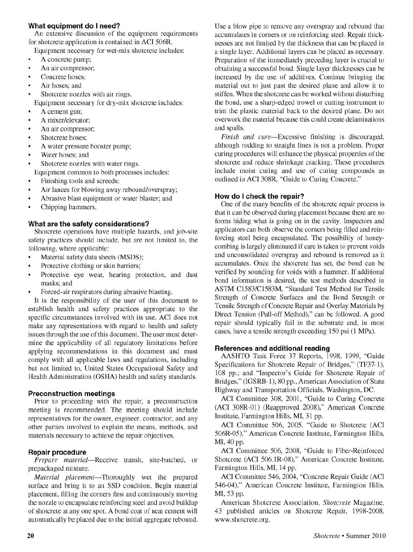#### **What equipment do I need?**

An extensive discussion of the equipment requirements for shotcrete application is contained in ACI 506R.

Equipment necessary for wet-mix shotcrete includes:

- A concrete pump;
- $\bullet$ An air compressor;
- $\bullet$ Concrete hoses;
- Air hoses; and
- Shotcrete nozzles with air rings. Equipment necessary for dry-mix shotcrete includes:
- A cement gun;
- A mixer/elevator;
- $\bullet$ An air compressor;
- ¥ Shotcrete hoses;
- A water pressure booster pump;
- Water hoses; and
- Shotcrete nozzles with water rings.
- Equipment common to both processes includes:
- Finishing tools and screeds;  $\bullet$
- Air lances for blowing away rebound/overspray;  $\bullet$
- Abrasive blast equipment or water blaster; and  $\bullet$
- Chipping hammers.

#### **What are the safety considerations?**

Shotcrete operations have multiple hazards, and job-site safety practices should include, but are not limited to, the following, where applicable:

- Material safety data sheets (MSDS);  $\bullet$
- Protective clothing or skin barriers;  $\bullet$
- Protective eye wear, hearing protection, and dust masks; and
- Forced-air respirators during abrasive blasting.

It is the responsibility of the user of this document to establish health and safely practices appropriate to the specific circumstances involved with its use. ACI does not make any representations with regard to health and safely issues through the use of this document. The user must determine the applicability of all regulatory limitations before applying recommendations in this document and must comply with all applicable laws and regulations, including but not limited to, United States Occupational Safety and Health Administration (OSHA) health and safety standards.

#### **Preconstruction meetings**

Prior to proceeding with the repair, a preconstruction meeting is recommended. The meeting should include representatives for the owner, engineer, contractor, and any other parties involved to explain the means, methods, and materials necessary to achieve the repair objectives.

#### **Repair procedure**

*Prepare material-Receive* transit, site-batched, or prepackaged mixture.

*Material placement-*Thoroughly wet the prepared surface and bring it to an SSD condition. Begin material placement, filling the corners first and continuously moving the nozzle to encapsulate reinforcing steel and avoid buildup of shotcrete at any one spot. A bond coat of neat cement will automatically be placed due to the initial aggregate rebound. Use a blow pipe to remove any overspray and rebound that accumulates in corners or on reinforcing steel. Repair thicknesses are not limited by the thickness that can be placed in a single layer. Additional layers can be placed as necessary. Preparation of the immediately preceding layer is crucial to obtaining a successful bond. Single layer thicknesses can be increased by the use of additives. Continue bringing the material out to just past the desired plane and allow it to stiffen. When the shotcrete can be worked without disturbing the bond, use a sharp-edged trowel or cutting instrument to trim the plastic material back to the desired plane. Do not overwork the material because this could create delaminations and spalls.

Finish and cure-Excessive finishing is discouraged, although rodding to straight lines is not a problem. Proper curing procedures will enhance the physical properties of the shotcrete and reduce shrinkage cracking. These procedures include moist curing and use of curing compounds as outlined in ACI 308R, "Guide to Curing Concrete."

#### **How do I check the repair?**

One of the many benefits of the shotcrete repair process is that it can be observed during placement because there are no forms hiding what is going on in the cavity. Inspectors and applicators can both observe the corners being filled and reinforcing steel being encapsulated. The possibility of honeycombing is largely eliminated if care is taken to prevent voids and unconsolidated overspray and rebound is removed as it accumulates. Once the shotcrete has set, the bond can be verified by sounding for voids with a hammer. If additional bond information is desired, the test methods described in ASTM C1583/C1583M, "Standard Test Method for Tensile Strength of Concrete Surfaces and the Bond Strength or Tensile Strength of Concrete Repair and Overlay Materials by Direct Tension (Pull-off Method)," can be followed. A good repair should typically fail in the substrate and, in most cases, have a tensile strength exceeding 150 psi (1 MPa).

#### **References and additional reading**

AASHTO Task Force 37 Reports, 1998, 1999, "Guide Specifications for Shotcrete Repair of Bridges," (TF37-l), 108 pp.; and "Inspector's Guide for Shotcrete Repair of Bridges," (IGSRB-1), 80 pp., American Association of State Highway and Transportation Officials, Washington, DC.

ACI Committee 308, 2001, "Guide to Curing Concrete (ACI 308R-01) (Reapproved 2008)," American Concrete Institute, Farmington Hills, MI, 31 pp.

ACI Committee 506, 2005, "Guide to Shotcrete (ACI 506R-05)," American Concrete Institute, Farmington Hills, MI, 40 pp.

ACI Committee 506, 2008, "Guide to Fiber-Reinforced Shotcrete (ACI 506.1R-08)," American Concrete Institute, Farmington Hills, MI, 14 pp.

ACI Committee 546, 2004, "Concrete Repair Guide (ACI 546-04)," American Concrete Institute, Farmington Hills, MI, 53 pp.

American Shotcrete Association, *Shotcrete* Magazine, 43 published articles on Shotcrete Repair, 1998-2008, www .shotcrete.org.